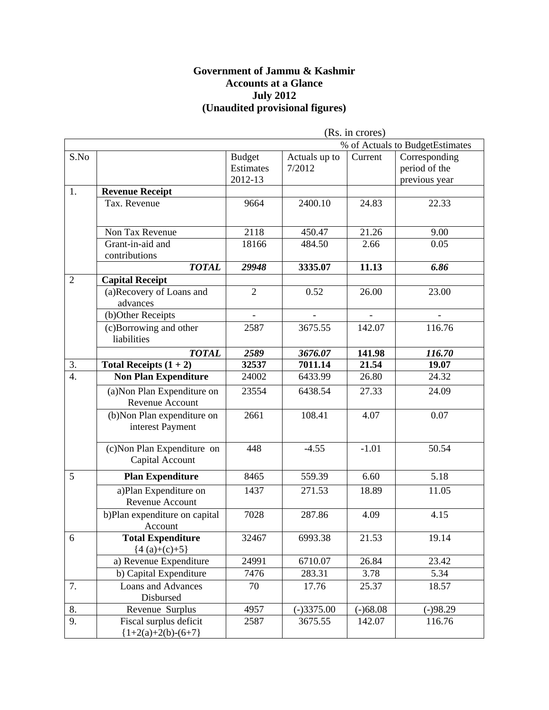#### **Government of Jammu & Kashmir Accounts at a Glance July 2012 (Unaudited provisional figures)**

|                  |                                                 | (Rs. in crores)                       |                         |            |                                                 |
|------------------|-------------------------------------------------|---------------------------------------|-------------------------|------------|-------------------------------------------------|
|                  |                                                 |                                       |                         |            | % of Actuals to BudgetEstimates                 |
| S.No             |                                                 | <b>Budget</b><br>Estimates<br>2012-13 | Actuals up to<br>7/2012 | Current    | Corresponding<br>period of the<br>previous year |
| 1.               | <b>Revenue Receipt</b>                          |                                       |                         |            |                                                 |
|                  | Tax. Revenue                                    | 9664                                  | 2400.10                 | 24.83      | 22.33                                           |
|                  | Non Tax Revenue                                 | 2118                                  | 450.47                  | 21.26      | 9.00                                            |
|                  | Grant-in-aid and<br>contributions               | 18166                                 | 484.50                  | 2.66       | 0.05                                            |
|                  | <b>TOTAL</b>                                    | 29948                                 | 3335.07                 | 11.13      | 6.86                                            |
| $\overline{2}$   | <b>Capital Receipt</b>                          |                                       |                         |            |                                                 |
|                  | (a)Recovery of Loans and<br>advances            | $\overline{2}$                        | 0.52                    | 26.00      | 23.00                                           |
|                  | (b)Other Receipts                               |                                       |                         |            |                                                 |
|                  | (c)Borrowing and other<br>liabilities           | 2587                                  | 3675.55                 | 142.07     | 116.76                                          |
|                  | <b>TOTAL</b>                                    | 2589                                  | 3676.07                 | 141.98     | 116.70                                          |
| 3.               | Total Receipts $(1 + 2)$                        | 32537                                 | 7011.14                 | 21.54      | 19.07                                           |
| $\overline{4}$ . | <b>Non Plan Expenditure</b>                     | 24002                                 | 6433.99                 | 26.80      | 24.32                                           |
|                  | (a) Non Plan Expenditure on<br>Revenue Account  | 23554                                 | 6438.54                 | 27.33      | 24.09                                           |
|                  | (b) Non Plan expenditure on<br>interest Payment | 2661                                  | 108.41                  | 4.07       | 0.07                                            |
|                  | (c) Non Plan Expenditure on<br>Capital Account  | 448                                   | $-4.55$                 | $-1.01$    | 50.54                                           |
| 5                | <b>Plan Expenditure</b>                         | 8465                                  | 559.39                  | 6.60       | 5.18                                            |
|                  | a)Plan Expenditure on<br>Revenue Account        | 1437                                  | 271.53                  | 18.89      | 11.05                                           |
|                  | b)Plan expenditure on capital<br>Account        | 7028                                  | 287.86                  | 4.09       | 4.15                                            |
| 6                | <b>Total Expenditure</b><br>${4(a)+(c)+5}$      | 32467                                 | 6993.38                 | 21.53      | 19.14                                           |
|                  | a) Revenue Expenditure                          | 24991                                 | 6710.07                 | 26.84      | 23.42                                           |
|                  | b) Capital Expenditure                          | 7476                                  | 283.31                  | 3.78       | 5.34                                            |
| 7.               | <b>Loans and Advances</b><br>Disbursed          | 70                                    | 17.76                   | 25.37      | 18.57                                           |
| 8.               | Revenue Surplus                                 | 4957                                  | $(-)3375.00$            | $(-)68.08$ | $(-)98.29$                                      |
| 9.               | Fiscal surplus deficit<br>${1+2(a)+2(b)-(6+7)}$ | 2587                                  | 3675.55                 | 142.07     | 116.76                                          |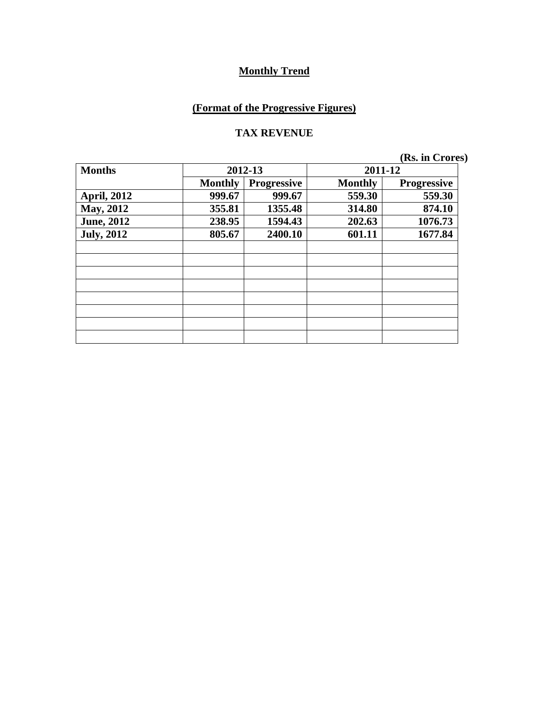# **(Format of the Progressive Figures)**

#### **TAX REVENUE**

| <b>Months</b>      | 2012-13        |                    | 2011-12        |                    |
|--------------------|----------------|--------------------|----------------|--------------------|
|                    | <b>Monthly</b> | <b>Progressive</b> | <b>Monthly</b> | <b>Progressive</b> |
| <b>April, 2012</b> | 999.67         | 999.67             | 559.30         | 559.30             |
| <b>May, 2012</b>   | 355.81         | 1355.48            | 314.80         | 874.10             |
| <b>June, 2012</b>  | 238.95         | 1594.43            | 202.63         | 1076.73            |
| <b>July, 2012</b>  | 805.67         | 2400.10            | 601.11         | 1677.84            |
|                    |                |                    |                |                    |
|                    |                |                    |                |                    |
|                    |                |                    |                |                    |
|                    |                |                    |                |                    |
|                    |                |                    |                |                    |
|                    |                |                    |                |                    |
|                    |                |                    |                |                    |
|                    |                |                    |                |                    |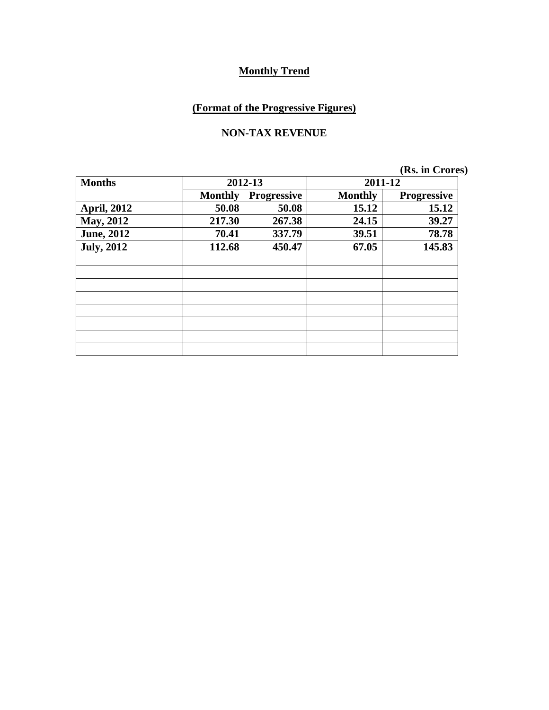# **(Format of the Progressive Figures)**

#### **NON-TAX REVENUE**

| <b>Months</b>      | 2012-13        |             | 2011-12        |             |
|--------------------|----------------|-------------|----------------|-------------|
|                    | <b>Monthly</b> | Progressive | <b>Monthly</b> | Progressive |
| <b>April, 2012</b> | 50.08          | 50.08       | 15.12          | 15.12       |
| May, 2012          | 217.30         | 267.38      | 24.15          | 39.27       |
| <b>June, 2012</b>  | 70.41          | 337.79      | 39.51          | 78.78       |
| <b>July, 2012</b>  | 112.68         | 450.47      | 67.05          | 145.83      |
|                    |                |             |                |             |
|                    |                |             |                |             |
|                    |                |             |                |             |
|                    |                |             |                |             |
|                    |                |             |                |             |
|                    |                |             |                |             |
|                    |                |             |                |             |
|                    |                |             |                |             |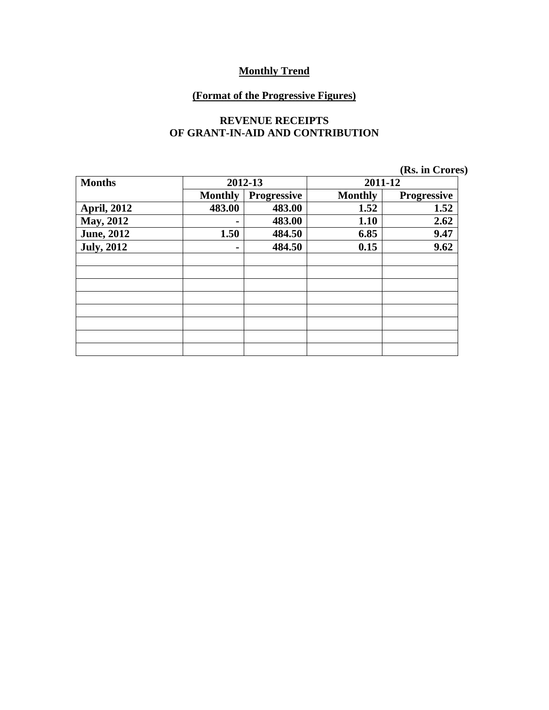#### **(Format of the Progressive Figures)**

#### **REVENUE RECEIPTS OF GRANT-IN-AID AND CONTRIBUTION**

|                    |                |                    |                | (Rs. in Crores)    |
|--------------------|----------------|--------------------|----------------|--------------------|
| <b>Months</b>      |                | 2012-13            | 2011-12        |                    |
|                    | <b>Monthly</b> | <b>Progressive</b> | <b>Monthly</b> | <b>Progressive</b> |
| <b>April, 2012</b> | 483.00         | 483.00             | 1.52           | 1.52               |
| May, 2012          |                | 483.00             | 1.10           | 2.62               |
| <b>June, 2012</b>  | 1.50           | 484.50             | 6.85           | 9.47               |
| <b>July, 2012</b>  |                | 484.50             | 0.15           | 9.62               |
|                    |                |                    |                |                    |
|                    |                |                    |                |                    |
|                    |                |                    |                |                    |
|                    |                |                    |                |                    |
|                    |                |                    |                |                    |
|                    |                |                    |                |                    |
|                    |                |                    |                |                    |
|                    |                |                    |                |                    |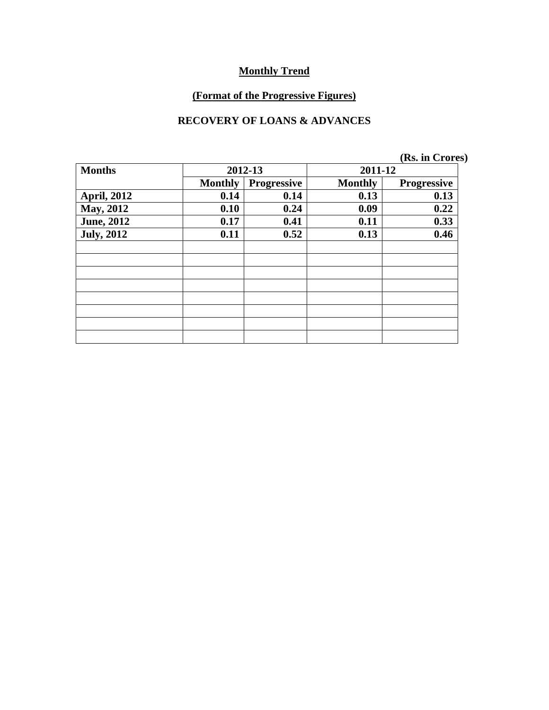# **(Format of the Progressive Figures)**

#### **RECOVERY OF LOANS & ADVANCES**

|                    |                |                    |                | (Rs. in Crores)    |  |
|--------------------|----------------|--------------------|----------------|--------------------|--|
| <b>Months</b>      |                | 2012-13            | 2011-12        |                    |  |
|                    | <b>Monthly</b> | <b>Progressive</b> | <b>Monthly</b> | <b>Progressive</b> |  |
| <b>April, 2012</b> | 0.14           | 0.14               | 0.13           | 0.13               |  |
| May, 2012          | 0.10           | 0.24               | 0.09           | 0.22               |  |
| <b>June, 2012</b>  | 0.17           | 0.41               | 0.11           | 0.33               |  |
| <b>July, 2012</b>  | 0.11           | 0.52               | 0.13           | 0.46               |  |
|                    |                |                    |                |                    |  |
|                    |                |                    |                |                    |  |
|                    |                |                    |                |                    |  |
|                    |                |                    |                |                    |  |
|                    |                |                    |                |                    |  |
|                    |                |                    |                |                    |  |
|                    |                |                    |                |                    |  |
|                    |                |                    |                |                    |  |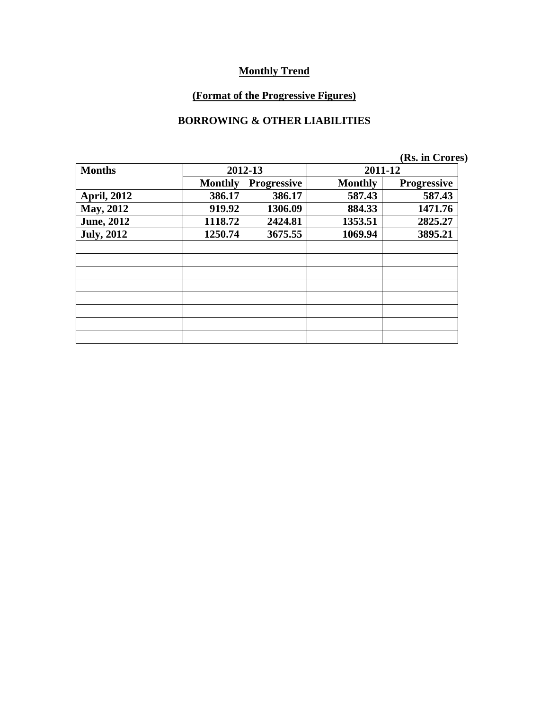# **(Format of the Progressive Figures)**

#### **BORROWING & OTHER LIABILITIES**

|                    |                |                    |                | (Rs. in Crores)    |
|--------------------|----------------|--------------------|----------------|--------------------|
| <b>Months</b>      |                | 2012-13            | 2011-12        |                    |
|                    | <b>Monthly</b> | <b>Progressive</b> | <b>Monthly</b> | <b>Progressive</b> |
| <b>April, 2012</b> | 386.17         | 386.17             | 587.43         | 587.43             |
| May, 2012          | 919.92         | 1306.09            | 884.33         | 1471.76            |
| <b>June, 2012</b>  | 1118.72        | 2424.81            | 1353.51        | 2825.27            |
| <b>July, 2012</b>  | 1250.74        | 3675.55            | 1069.94        | 3895.21            |
|                    |                |                    |                |                    |
|                    |                |                    |                |                    |
|                    |                |                    |                |                    |
|                    |                |                    |                |                    |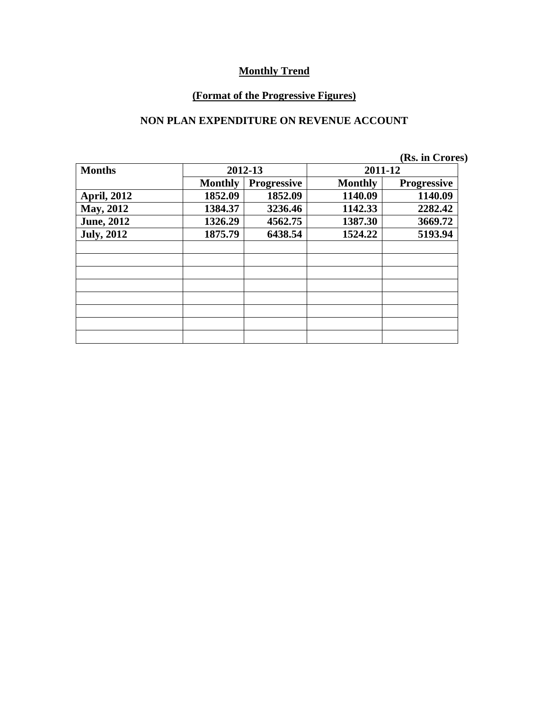#### **(Format of the Progressive Figures)**

#### **NON PLAN EXPENDITURE ON REVENUE ACCOUNT**

|                    |                |                    |                | (Rs. in Crores)    |
|--------------------|----------------|--------------------|----------------|--------------------|
| <b>Months</b>      |                | 2012-13            | 2011-12        |                    |
|                    | <b>Monthly</b> | <b>Progressive</b> | <b>Monthly</b> | <b>Progressive</b> |
| <b>April, 2012</b> | 1852.09        | 1852.09            | 1140.09        | 1140.09            |
| May, 2012          | 1384.37        | 3236.46            | 1142.33        | 2282.42            |
| <b>June, 2012</b>  | 1326.29        | 4562.75            | 1387.30        | 3669.72            |
| <b>July, 2012</b>  | 1875.79        | 6438.54            | 1524.22        | 5193.94            |
|                    |                |                    |                |                    |
|                    |                |                    |                |                    |
|                    |                |                    |                |                    |
|                    |                |                    |                |                    |
|                    |                |                    |                |                    |
|                    |                |                    |                |                    |
|                    |                |                    |                |                    |
|                    |                |                    |                |                    |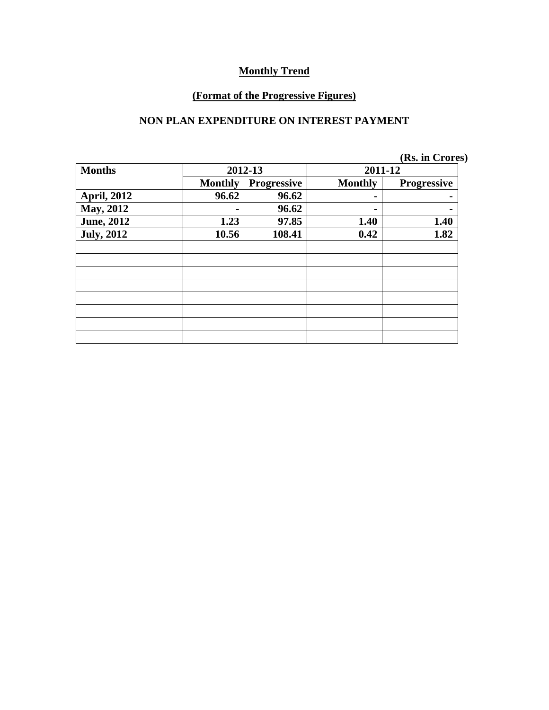# **(Format of the Progressive Figures)**

#### **NON PLAN EXPENDITURE ON INTEREST PAYMENT**

| <b>Months</b>      | 2012-13        |                    | 2011-12        |                    |
|--------------------|----------------|--------------------|----------------|--------------------|
|                    | <b>Monthly</b> | <b>Progressive</b> | <b>Monthly</b> | <b>Progressive</b> |
| <b>April, 2012</b> | 96.62          | 96.62              | $\blacksquare$ |                    |
| <b>May, 2012</b>   |                | 96.62              | ۰              |                    |
| <b>June, 2012</b>  | 1.23           | 97.85              | 1.40           | 1.40               |
| <b>July, 2012</b>  | 10.56          | 108.41             | 0.42           | 1.82               |
|                    |                |                    |                |                    |
|                    |                |                    |                |                    |
|                    |                |                    |                |                    |
|                    |                |                    |                |                    |
|                    |                |                    |                |                    |
|                    |                |                    |                |                    |
|                    |                |                    |                |                    |
|                    |                |                    |                |                    |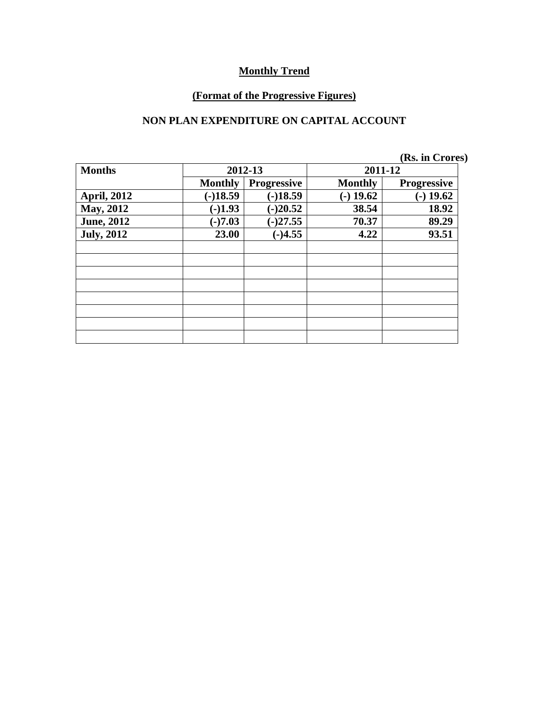# **(Format of the Progressive Figures)**

#### **NON PLAN EXPENDITURE ON CAPITAL ACCOUNT**

|                    |                |                    |                | (Rs. in Crores)    |
|--------------------|----------------|--------------------|----------------|--------------------|
| <b>Months</b>      |                | 2012-13            | 2011-12        |                    |
|                    | <b>Monthly</b> | <b>Progressive</b> | <b>Monthly</b> | <b>Progressive</b> |
| <b>April, 2012</b> | $(-)18.59$     | $(-)18.59$         | $-$ ) 19.62    | $(-)$ 19.62        |
| May, 2012          | $(-)1.93$      | $(-)20.52$         | 38.54          | 18.92              |
| <b>June, 2012</b>  | $(-)7.03$      | $(-)27.55$         | 70.37          | 89.29              |
| <b>July, 2012</b>  | 23.00          | $(-)4.55$          | 4.22           | 93.51              |
|                    |                |                    |                |                    |
|                    |                |                    |                |                    |
|                    |                |                    |                |                    |
|                    |                |                    |                |                    |
|                    |                |                    |                |                    |
|                    |                |                    |                |                    |
|                    |                |                    |                |                    |
|                    |                |                    |                |                    |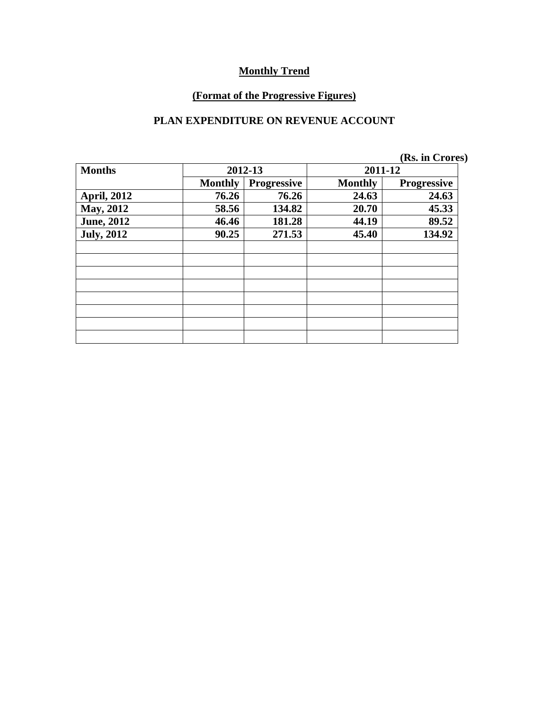# **(Format of the Progressive Figures)**

#### **PLAN EXPENDITURE ON REVENUE ACCOUNT**

|                    |                |                    |                | (Rs. in Crores)    |
|--------------------|----------------|--------------------|----------------|--------------------|
| <b>Months</b>      | 2012-13        |                    | 2011-12        |                    |
|                    | <b>Monthly</b> | <b>Progressive</b> | <b>Monthly</b> | <b>Progressive</b> |
| <b>April, 2012</b> | 76.26          | 76.26              | 24.63          | 24.63              |
| May, 2012          | 58.56          | 134.82             | 20.70          | 45.33              |
| <b>June, 2012</b>  | 46.46          | 181.28             | 44.19          | 89.52              |
| <b>July, 2012</b>  | 90.25          | 271.53             | 45.40          | 134.92             |
|                    |                |                    |                |                    |
|                    |                |                    |                |                    |
|                    |                |                    |                |                    |
|                    |                |                    |                |                    |
|                    |                |                    |                |                    |
|                    |                |                    |                |                    |
|                    |                |                    |                |                    |
|                    |                |                    |                |                    |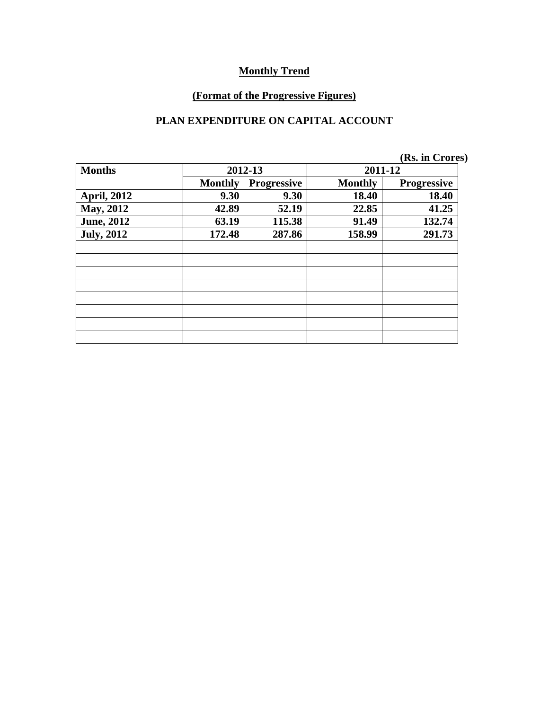# **(Format of the Progressive Figures)**

#### **PLAN EXPENDITURE ON CAPITAL ACCOUNT**

|                    |                |                    |                | (Rs. in Crores)    |
|--------------------|----------------|--------------------|----------------|--------------------|
| <b>Months</b>      |                | 2012-13            | 2011-12        |                    |
|                    | <b>Monthly</b> | <b>Progressive</b> | <b>Monthly</b> | <b>Progressive</b> |
| <b>April, 2012</b> | 9.30           | 9.30               | 18.40          | 18.40              |
| <b>May, 2012</b>   | 42.89          | 52.19              | 22.85          | 41.25              |
| <b>June, 2012</b>  | 63.19          | 115.38             | 91.49          | 132.74             |
| <b>July, 2012</b>  | 172.48         | 287.86             | 158.99         | 291.73             |
|                    |                |                    |                |                    |
|                    |                |                    |                |                    |
|                    |                |                    |                |                    |
|                    |                |                    |                |                    |
|                    |                |                    |                |                    |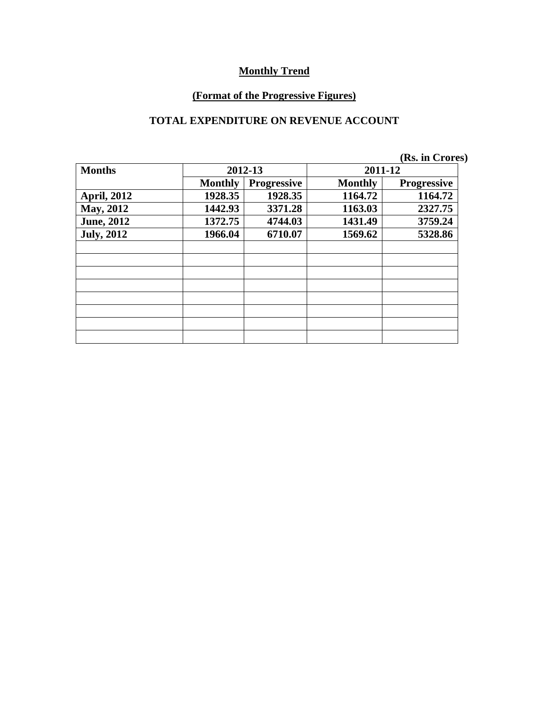# **(Format of the Progressive Figures)**

#### **TOTAL EXPENDITURE ON REVENUE ACCOUNT**

|                    |                |                    |                | (Rs. in Crores) |
|--------------------|----------------|--------------------|----------------|-----------------|
| <b>Months</b>      |                | 2012-13            | 2011-12        |                 |
|                    | <b>Monthly</b> | <b>Progressive</b> | <b>Monthly</b> | Progressive     |
| <b>April, 2012</b> | 1928.35        | 1928.35            | 1164.72        | 1164.72         |
| <b>May, 2012</b>   | 1442.93        | 3371.28            | 1163.03        | 2327.75         |
| <b>June, 2012</b>  | 1372.75        | 4744.03            | 1431.49        | 3759.24         |
| <b>July, 2012</b>  | 1966.04        | 6710.07            | 1569.62        | 5328.86         |
|                    |                |                    |                |                 |
|                    |                |                    |                |                 |
|                    |                |                    |                |                 |
|                    |                |                    |                |                 |
|                    |                |                    |                |                 |
|                    |                |                    |                |                 |
|                    |                |                    |                |                 |
|                    |                |                    |                |                 |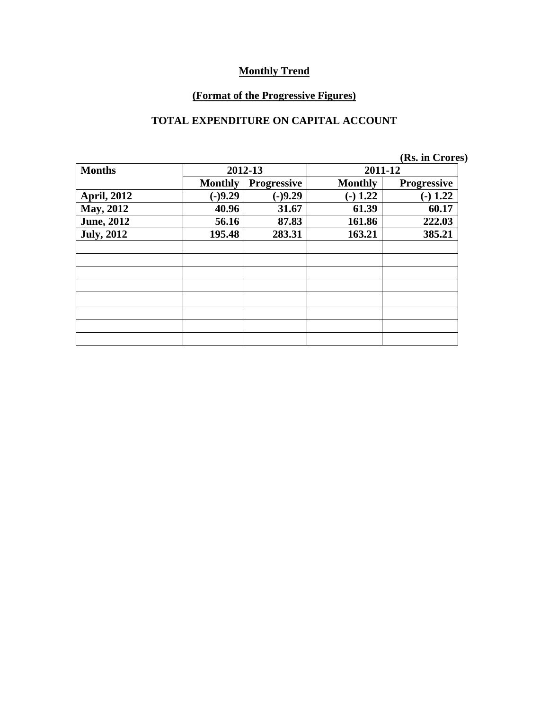# **(Format of the Progressive Figures)**

#### **TOTAL EXPENDITURE ON CAPITAL ACCOUNT**

|                    |                |                    |                | (Rs. in Crores)    |  |
|--------------------|----------------|--------------------|----------------|--------------------|--|
| <b>Months</b>      |                | 2012-13            | 2011-12        |                    |  |
|                    | <b>Monthly</b> | <b>Progressive</b> | <b>Monthly</b> | <b>Progressive</b> |  |
| <b>April, 2012</b> | $(-)9.29$      | $(-)9.29$          | $-$ ) 1.22     | $-1.22$            |  |
| May, 2012          | 40.96          | 31.67              | 61.39          | 60.17              |  |
| <b>June, 2012</b>  | 56.16          | 87.83              | 161.86         | 222.03             |  |
| <b>July, 2012</b>  | 195.48         | 283.31             | 163.21         | 385.21             |  |
|                    |                |                    |                |                    |  |
|                    |                |                    |                |                    |  |
|                    |                |                    |                |                    |  |
|                    |                |                    |                |                    |  |
|                    |                |                    |                |                    |  |
|                    |                |                    |                |                    |  |
|                    |                |                    |                |                    |  |
|                    |                |                    |                |                    |  |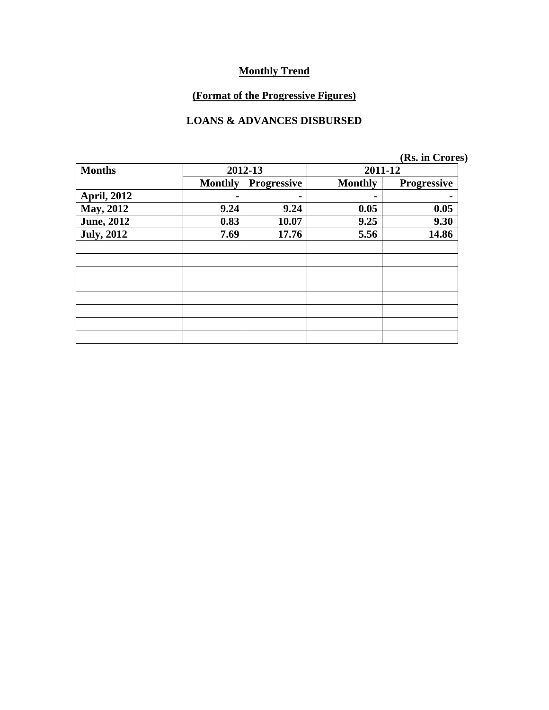# **(Format of the Progressive Figures)**

#### **LOANS & ADVANCES DISBURSED**

|                    |                |                    |                | (Rs. in Crores)    |  |
|--------------------|----------------|--------------------|----------------|--------------------|--|
| <b>Months</b>      |                | 2012-13            | 2011-12        |                    |  |
|                    | <b>Monthly</b> | <b>Progressive</b> | <b>Monthly</b> | <b>Progressive</b> |  |
| <b>April, 2012</b> |                |                    |                |                    |  |
| May, 2012          | 9.24           | 9.24               | 0.05           | 0.05               |  |
| <b>June, 2012</b>  | 0.83           | 10.07              | 9.25           | 9.30               |  |
| <b>July, 2012</b>  | 7.69           | 17.76              | 5.56           | 14.86              |  |
|                    |                |                    |                |                    |  |
|                    |                |                    |                |                    |  |
|                    |                |                    |                |                    |  |
|                    |                |                    |                |                    |  |
|                    |                |                    |                |                    |  |
|                    |                |                    |                |                    |  |
|                    |                |                    |                |                    |  |
|                    |                |                    |                |                    |  |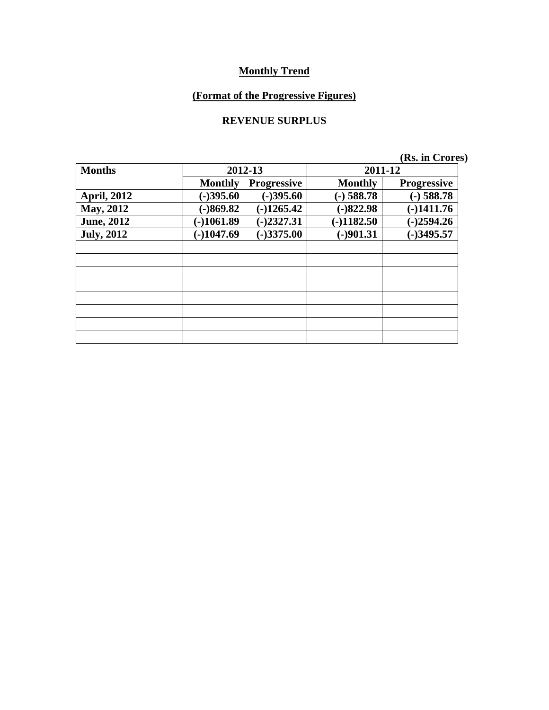# **(Format of the Progressive Figures)**

#### **REVENUE SURPLUS**

|  | (Rs. in Crores) |
|--|-----------------|
|  |                 |

| <b>Months</b>      |                | 2012-13            | 2011-12        |                    |  |  |
|--------------------|----------------|--------------------|----------------|--------------------|--|--|
|                    | <b>Monthly</b> | <b>Progressive</b> | <b>Monthly</b> | <b>Progressive</b> |  |  |
| <b>April, 2012</b> | $(-)395.60$    | $(-)395.60$        | $(-)$ 588.78   | $(-)$ 588.78       |  |  |
| <b>May, 2012</b>   | $-869.82$      | $(-)1265.42$       | $(-)822.98$    | $(-)1411.76$       |  |  |
| <b>June, 2012</b>  | $(-)1061.89$   | $(-)2327.31$       | $-1182.50$     | $(-)2594.26$       |  |  |
| <b>July, 2012</b>  | $(-)1047.69$   | $(-)3375.00$       | $(-)901.31$    | $(-)3495.57$       |  |  |
|                    |                |                    |                |                    |  |  |
|                    |                |                    |                |                    |  |  |
|                    |                |                    |                |                    |  |  |
|                    |                |                    |                |                    |  |  |
|                    |                |                    |                |                    |  |  |
|                    |                |                    |                |                    |  |  |
|                    |                |                    |                |                    |  |  |
|                    |                |                    |                |                    |  |  |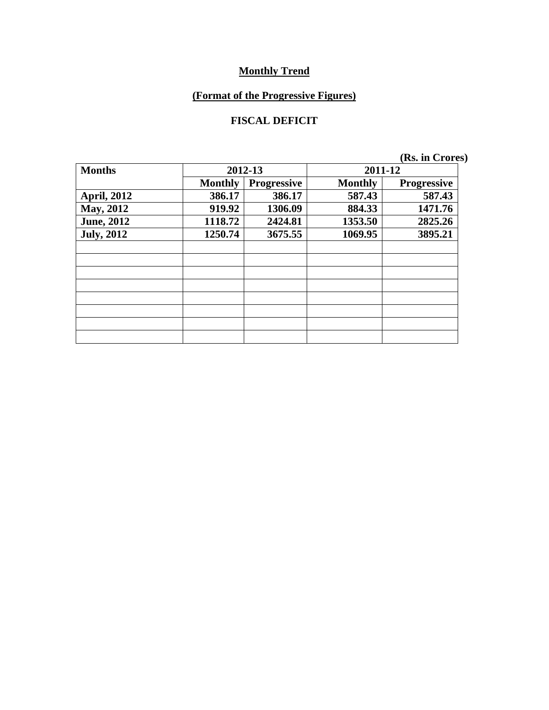# **(Format of the Progressive Figures)**

#### **FISCAL DEFICIT**

| <b>Months</b>      | 2012-13        |                    | 2011-12        |                    |  |
|--------------------|----------------|--------------------|----------------|--------------------|--|
|                    | <b>Monthly</b> | <b>Progressive</b> | <b>Monthly</b> | <b>Progressive</b> |  |
| <b>April, 2012</b> | 386.17         | 386.17             | 587.43         | 587.43             |  |
| <b>May, 2012</b>   | 919.92         | 1306.09            | 884.33         | 1471.76            |  |
| <b>June, 2012</b>  | 1118.72        | 2424.81            | 1353.50        | 2825.26            |  |
| <b>July, 2012</b>  | 1250.74        | 3675.55            | 1069.95        | 3895.21            |  |
|                    |                |                    |                |                    |  |
|                    |                |                    |                |                    |  |
|                    |                |                    |                |                    |  |
|                    |                |                    |                |                    |  |
|                    |                |                    |                |                    |  |
|                    |                |                    |                |                    |  |
|                    |                |                    |                |                    |  |
|                    |                |                    |                |                    |  |